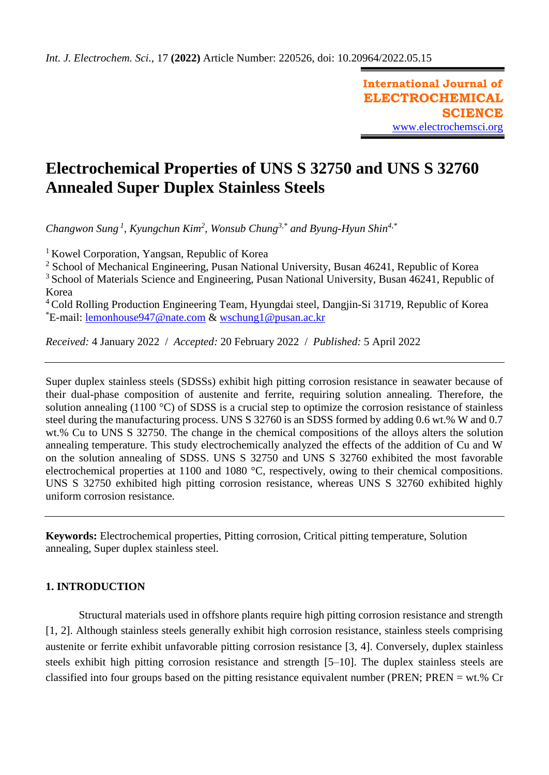**International Journal of ELECTROCHEMICAL SCIENCE** [www.electrochemsci.org](http://www.electrochemsci.org/)

# **Electrochemical Properties of UNS S 32750 and UNS S 32760 Annealed Super Duplex Stainless Steels**

*Changwon Sung <sup>1</sup> , Kyungchun Kim<sup>2</sup> , Wonsub Chung3,\* and Byung-Hyun Shin4,\**

<sup>1</sup> Kowel Corporation, Yangsan, Republic of Korea

<sup>2</sup> School of Mechanical Engineering, Pusan National University, Busan 46241, Republic of Korea

<sup>3</sup> School of Materials Science and Engineering, Pusan National University, Busan 46241, Republic of Korea

<sup>4</sup> Cold Rolling Production Engineering Team, Hyungdai steel, Dangjin-Si 31719, Republic of Korea \*E-mail: [lemonhouse947@nate.com](mailto:lemonhouse947@nate.com) & [wschung1@pusan.ac.kr](mailto:wschung1@pusan.ac.kr)

*Received:* 4 January 2022/ *Accepted:* 20 February 2022 / *Published:* 5 April 2022

Super duplex stainless steels (SDSSs) exhibit high pitting corrosion resistance in seawater because of their dual-phase composition of austenite and ferrite, requiring solution annealing. Therefore, the solution annealing (1100 °C) of SDSS is a crucial step to optimize the corrosion resistance of stainless steel during the manufacturing process. UNS S 32760 is an SDSS formed by adding 0.6 wt.% W and 0.7 wt.% Cu to UNS S 32750. The change in the chemical compositions of the alloys alters the solution annealing temperature. This study electrochemically analyzed the effects of the addition of Cu and W on the solution annealing of SDSS. UNS S 32750 and UNS S 32760 exhibited the most favorable electrochemical properties at 1100 and 1080 °C, respectively, owing to their chemical compositions. UNS S 32750 exhibited high pitting corrosion resistance, whereas UNS S 32760 exhibited highly uniform corrosion resistance.

**Keywords:** Electrochemical properties, Pitting corrosion, Critical pitting temperature, Solution annealing, Super duplex stainless steel.

# **1. INTRODUCTION**

Structural materials used in offshore plants require high pitting corrosion resistance and strength [1, 2]. Although stainless steels generally exhibit high corrosion resistance, stainless steels comprising austenite or ferrite exhibit unfavorable pitting corrosion resistance [3, 4]. Conversely, duplex stainless steels exhibit high pitting corrosion resistance and strength [5–10]. The duplex stainless steels are classified into four groups based on the pitting resistance equivalent number (PREN; PREN = wt.% Cr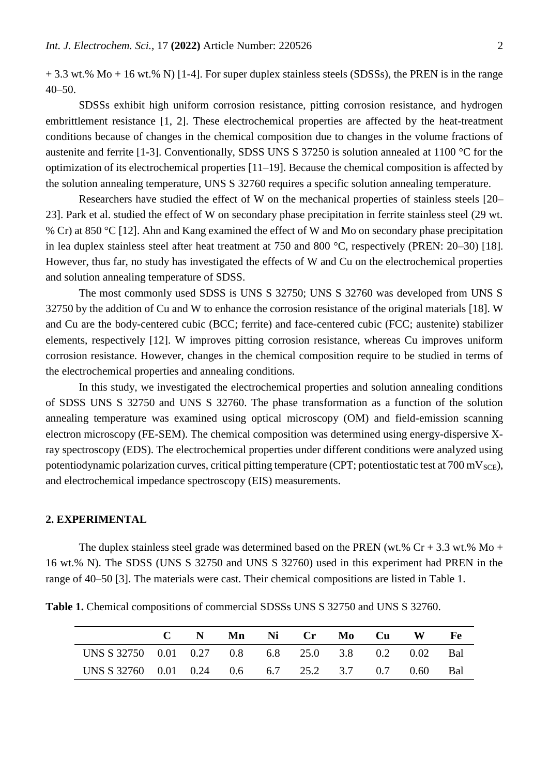$+ 3.3$  wt.% Mo  $+ 16$  wt.% N) [1-4]. For super duplex stainless steels (SDSSs), the PREN is in the range  $40 - 50$ .

SDSSs exhibit high uniform corrosion resistance, pitting corrosion resistance, and hydrogen embrittlement resistance [1, 2]. These electrochemical properties are affected by the heat-treatment conditions because of changes in the chemical composition due to changes in the volume fractions of austenite and ferrite [1-3]. Conventionally, SDSS UNS S 37250 is solution annealed at 1100 °C for the optimization of its electrochemical properties [11–19]. Because the chemical composition is affected by the solution annealing temperature, UNS S 32760 requires a specific solution annealing temperature.

Researchers have studied the effect of W on the mechanical properties of stainless steels [20– 23]. Park et al. studied the effect of W on secondary phase precipitation in ferrite stainless steel (29 wt. % Cr) at 850 °C [12]. Ahn and Kang examined the effect of W and Mo on secondary phase precipitation in lea duplex stainless steel after heat treatment at 750 and 800 °C, respectively (PREN: 20–30) [18]. However, thus far, no study has investigated the effects of W and Cu on the electrochemical properties and solution annealing temperature of SDSS.

The most commonly used SDSS is UNS S 32750; UNS S 32760 was developed from UNS S 32750 by the addition of Cu and W to enhance the corrosion resistance of the original materials [18]. W and Cu are the body-centered cubic (BCC; ferrite) and face-centered cubic (FCC; austenite) stabilizer elements, respectively [12]. W improves pitting corrosion resistance, whereas Cu improves uniform corrosion resistance. However, changes in the chemical composition require to be studied in terms of the electrochemical properties and annealing conditions.

In this study, we investigated the electrochemical properties and solution annealing conditions of SDSS UNS S 32750 and UNS S 32760. The phase transformation as a function of the solution annealing temperature was examined using optical microscopy (OM) and field-emission scanning electron microscopy (FE-SEM). The chemical composition was determined using energy-dispersive Xray spectroscopy (EDS). The electrochemical properties under different conditions were analyzed using potentiodynamic polarization curves, critical pitting temperature (CPT; potentiostatic test at  $700 \text{ mV}_{SCE}$ ), and electrochemical impedance spectroscopy (EIS) measurements.

#### **2. EXPERIMENTAL**

The duplex stainless steel grade was determined based on the PREN (wt.%  $Cr + 3.3$  wt.% Mo + 16 wt.% N). The SDSS (UNS S 32750 and UNS S 32760) used in this experiment had PREN in the range of 40–50 [3]. The materials were cast. Their chemical compositions are listed in Table 1.

**Table 1.** Chemical compositions of commercial SDSSs UNS S 32750 and UNS S 32760.

|                                                     |  |  |  | C N Mn Ni Cr Mo Cu W Fe |  |
|-----------------------------------------------------|--|--|--|-------------------------|--|
| UNS S 32750 0.01 0.27 0.8 6.8 25.0 3.8 0.2 0.02 Bal |  |  |  |                         |  |
| UNS S 32760 0.01 0.24 0.6 6.7 25.2 3.7 0.7 0.60 Bal |  |  |  |                         |  |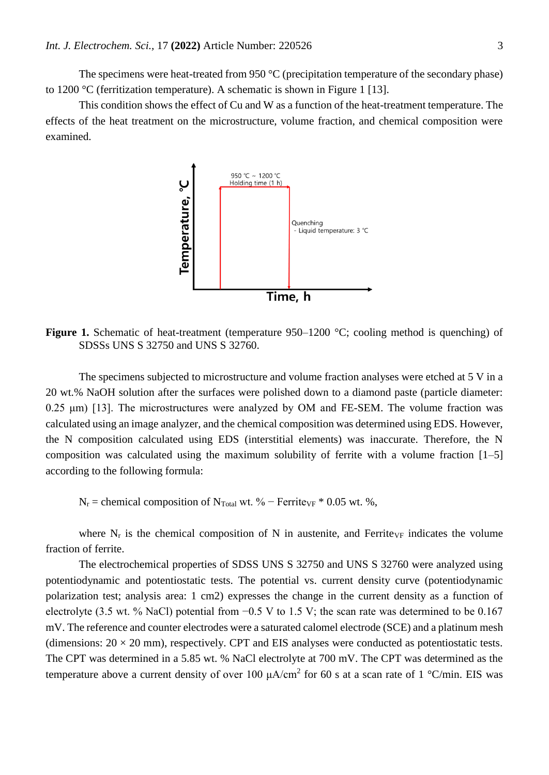The specimens were heat-treated from 950 °C (precipitation temperature of the secondary phase) to 1200 °C (ferritization temperature). A schematic is shown in Figure 1 [13].

This condition shows the effect of Cu and W as a function of the heat-treatment temperature. The effects of the heat treatment on the microstructure, volume fraction, and chemical composition were examined.



**Figure 1.** Schematic of heat-treatment (temperature 950–1200 °C; cooling method is quenching) of SDSSs UNS S 32750 and UNS S 32760.

The specimens subjected to microstructure and volume fraction analyses were etched at 5 V in a 20 wt.% NaOH solution after the surfaces were polished down to a diamond paste (particle diameter: 0.25 μm) [13]. The microstructures were analyzed by OM and FE-SEM. The volume fraction was calculated using an image analyzer, and the chemical composition was determined using EDS. However, the N composition calculated using EDS (interstitial elements) was inaccurate. Therefore, the N composition was calculated using the maximum solubility of ferrite with a volume fraction [1–5] according to the following formula:

 $N_r$  = chemical composition of N<sub>Total</sub> wt. % – Ferrite<sub>VF</sub> \* 0.05 wt. %,

where  $N_r$  is the chemical composition of N in austenite, and Ferrite<sub>VF</sub> indicates the volume fraction of ferrite.

The electrochemical properties of SDSS UNS S 32750 and UNS S 32760 were analyzed using potentiodynamic and potentiostatic tests. The potential vs. current density curve (potentiodynamic polarization test; analysis area: 1 cm2) expresses the change in the current density as a function of electrolyte (3.5 wt. % NaCl) potential from −0.5 V to 1.5 V; the scan rate was determined to be 0.167 mV. The reference and counter electrodes were a saturated calomel electrode (SCE) and a platinum mesh (dimensions:  $20 \times 20$  mm), respectively. CPT and EIS analyses were conducted as potentiostatic tests. The CPT was determined in a 5.85 wt. % NaCl electrolyte at 700 mV. The CPT was determined as the temperature above a current density of over 100  $\mu A/cm^2$  for 60 s at a scan rate of 1 °C/min. EIS was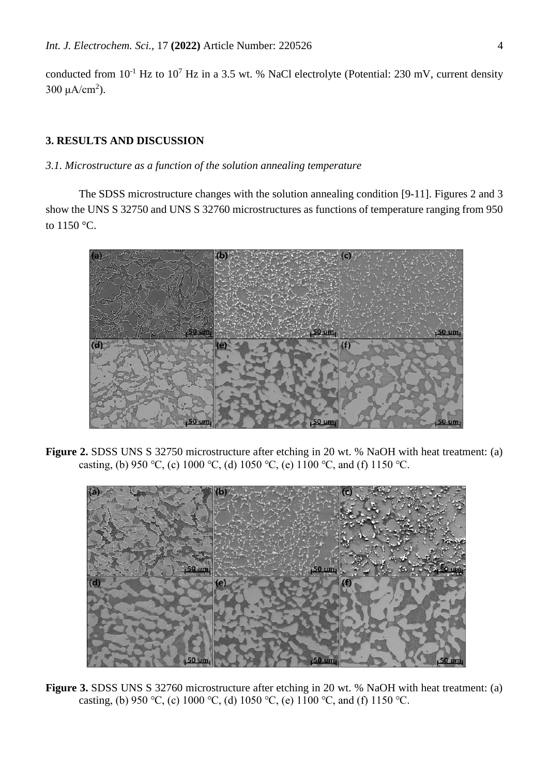conducted from  $10^{-1}$  Hz to  $10^{7}$  Hz in a 3.5 wt. % NaCl electrolyte (Potential: 230 mV, current density 300 μA/cm<sup>2</sup>).

# **3. RESULTS AND DISCUSSION**

# *3.1. Microstructure as a function of the solution annealing temperature*

The SDSS microstructure changes with the solution annealing condition [9-11]. Figures 2 and 3 show the UNS S 32750 and UNS S 32760 microstructures as functions of temperature ranging from 950 to 1150 °C.



**Figure 2.** SDSS UNS S 32750 microstructure after etching in 20 wt. % NaOH with heat treatment: (a) casting, (b) 950 °C, (c) 1000 °C, (d) 1050 °C, (e) 1100 °C, and (f) 1150 °C.



**Figure 3.** SDSS UNS S 32760 microstructure after etching in 20 wt. % NaOH with heat treatment: (a) casting, (b) 950 °C, (c) 1000 °C, (d) 1050 °C, (e) 1100 °C, and (f) 1150 °C.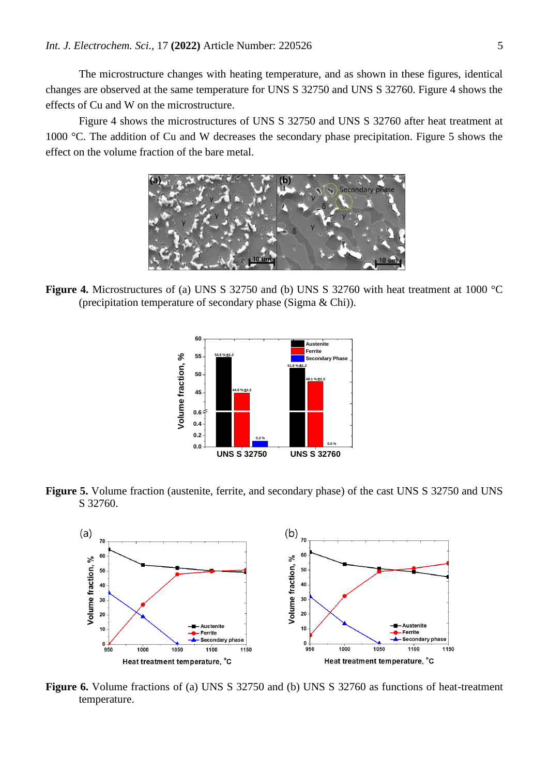The microstructure changes with heating temperature, and as shown in these figures, identical changes are observed at the same temperature for UNS S 32750 and UNS S 32760. Figure 4 shows the effects of Cu and W on the microstructure.

Figure 4 shows the microstructures of UNS S 32750 and UNS S 32760 after heat treatment at 1000 °C. The addition of Cu and W decreases the secondary phase precipitation. Figure 5 shows the effect on the volume fraction of the bare metal.



**Figure 4.** Microstructures of (a) UNS S 32750 and (b) UNS S 32760 with heat treatment at 1000 °C (precipitation temperature of secondary phase (Sigma & Chi)).



**Figure 5.** Volume fraction (austenite, ferrite, and secondary phase) of the cast UNS S 32750 and UNS S 32760.



**Figure 6.** Volume fractions of (a) UNS S 32750 and (b) UNS S 32760 as functions of heat-treatment temperature.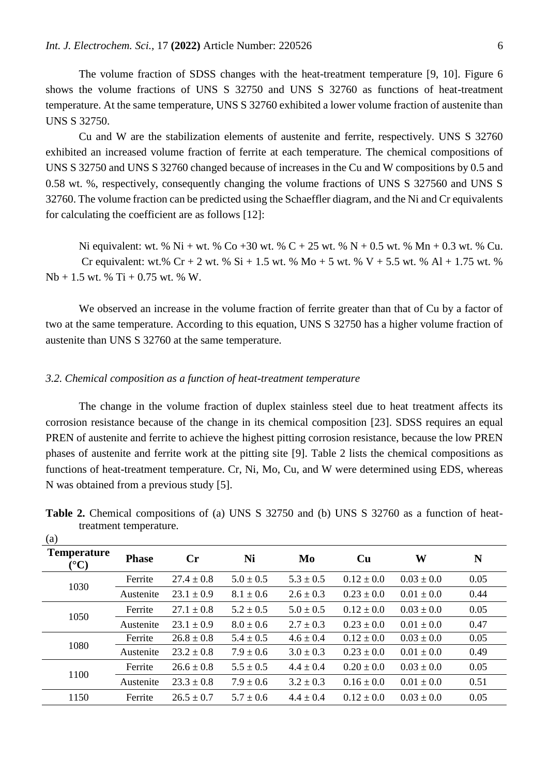The volume fraction of SDSS changes with the heat-treatment temperature [9, 10]. Figure 6 shows the volume fractions of UNS S 32750 and UNS S 32760 as functions of heat-treatment temperature. At the same temperature, UNS S 32760 exhibited a lower volume fraction of austenite than UNS S 32750.

Cu and W are the stabilization elements of austenite and ferrite, respectively. UNS S 32760 exhibited an increased volume fraction of ferrite at each temperature. The chemical compositions of UNS S 32750 and UNS S 32760 changed because of increases in the Cu and W compositions by 0.5 and 0.58 wt. %, respectively, consequently changing the volume fractions of UNS S 327560 and UNS S 32760. The volume fraction can be predicted using the Schaeffler diagram, and the Ni and Cr equivalents for calculating the coefficient are as follows [12]:

Ni equivalent: wt. % Ni + wt. % Co +30 wt. % C + 25 wt. % N + 0.5 wt. % Mn + 0.3 wt. % Cu. Cr equivalent: wt.% Cr + 2 wt. % Si + 1.5 wt. % Mo + 5 wt. % V + 5.5 wt. % Al + 1.75 wt. %  $Nb + 1.5$  wt. % Ti + 0.75 wt. % W.

We observed an increase in the volume fraction of ferrite greater than that of Cu by a factor of two at the same temperature. According to this equation, UNS S 32750 has a higher volume fraction of austenite than UNS S 32760 at the same temperature.

# *3.2. Chemical composition as a function of heat-treatment temperature*

The change in the volume fraction of duplex stainless steel due to heat treatment affects its corrosion resistance because of the change in its chemical composition [23]. SDSS requires an equal PREN of austenite and ferrite to achieve the highest pitting corrosion resistance, because the low PREN phases of austenite and ferrite work at the pitting site [9]. Table 2 lists the chemical compositions as functions of heat-treatment temperature. Cr, Ni, Mo, Cu, and W were determined using EDS, whereas N was obtained from a previous study [5].

| $\ddotsc$<br><b>Temperature</b><br>$\rm ^{\circ} C)$ | <b>Phase</b> | $\mathbf{C}$ r | Ni            | Mo            | Cu             | W              | N    |
|------------------------------------------------------|--------------|----------------|---------------|---------------|----------------|----------------|------|
| 1030                                                 | Ferrite      | $27.4 \pm 0.8$ | $5.0 \pm 0.5$ | $5.3 \pm 0.5$ | $0.12 \pm 0.0$ | $0.03 \pm 0.0$ | 0.05 |
|                                                      | Austenite    | $23.1 \pm 0.9$ | $8.1 \pm 0.6$ | $2.6 \pm 0.3$ | $0.23 \pm 0.0$ | $0.01 \pm 0.0$ | 0.44 |
| 1050                                                 | Ferrite      | $27.1 \pm 0.8$ | $5.2 \pm 0.5$ | $5.0 \pm 0.5$ | $0.12 \pm 0.0$ | $0.03 \pm 0.0$ | 0.05 |
|                                                      | Austenite    | $23.1 \pm 0.9$ | $8.0 \pm 0.6$ | $2.7 \pm 0.3$ | $0.23 \pm 0.0$ | $0.01 \pm 0.0$ | 0.47 |
| 1080                                                 | Ferrite      | $26.8 \pm 0.8$ | $5.4 \pm 0.5$ | $4.6 \pm 0.4$ | $0.12 \pm 0.0$ | $0.03 \pm 0.0$ | 0.05 |
|                                                      | Austenite    | $23.2 \pm 0.8$ | $7.9 \pm 0.6$ | $3.0 \pm 0.3$ | $0.23 \pm 0.0$ | $0.01 \pm 0.0$ | 0.49 |
| 1100                                                 | Ferrite      | $26.6 \pm 0.8$ | $5.5 \pm 0.5$ | $4.4 \pm 0.4$ | $0.20 \pm 0.0$ | $0.03 \pm 0.0$ | 0.05 |
|                                                      | Austenite    | $23.3 \pm 0.8$ | $7.9 \pm 0.6$ | $3.2 \pm 0.3$ | $0.16 \pm 0.0$ | $0.01 \pm 0.0$ | 0.51 |
| 1150                                                 | Ferrite      | $26.5 \pm 0.7$ | $5.7 \pm 0.6$ | $4.4 \pm 0.4$ | $0.12 \pm 0.0$ | $0.03 \pm 0.0$ | 0.05 |

**Table 2.** Chemical compositions of (a) UNS S 32750 and (b) UNS S 32760 as a function of heattreatment temperature.  $(a)$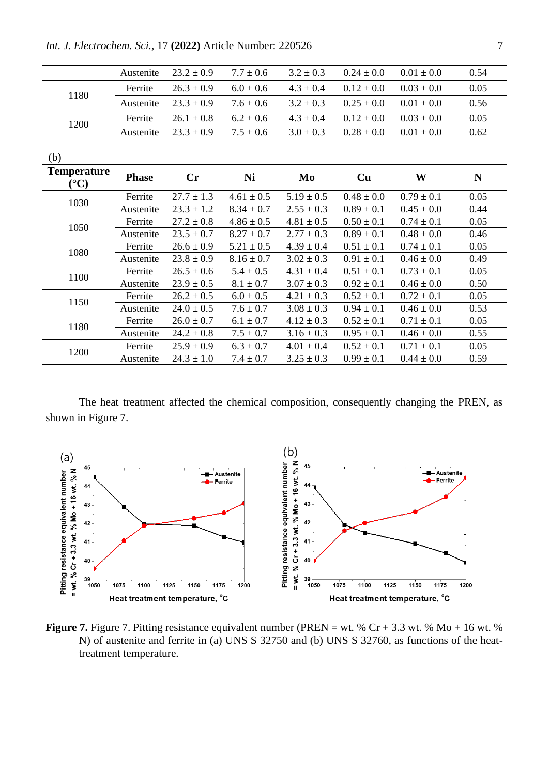|                                       | Austenite    | $23.2 \pm 0.9$ | $7.7 \pm 0.6$  | $3.2 \pm 0.3$  | $0.24 \pm 0.0$ | $0.01 \pm 0.0$ | 0.54        |
|---------------------------------------|--------------|----------------|----------------|----------------|----------------|----------------|-------------|
| 1180                                  | Ferrite      | $26.3 \pm 0.9$ | $6.0 \pm 0.6$  | $4.3 \pm 0.4$  | $0.12 \pm 0.0$ | $0.03 \pm 0.0$ | 0.05        |
|                                       | Austenite    | $23.3 \pm 0.9$ | $7.6 \pm 0.6$  | $3.2 \pm 0.3$  | $0.25 \pm 0.0$ | $0.01 \pm 0.0$ | 0.56        |
|                                       | Ferrite      | $26.1 \pm 0.8$ | $6.2 \pm 0.6$  | $4.3 \pm 0.4$  | $0.12 \pm 0.0$ | $0.03 \pm 0.0$ | 0.05        |
| 1200                                  | Austenite    | $23.3 \pm 0.9$ | $7.5 \pm 0.6$  | $3.0 \pm 0.3$  | $0.28 \pm 0.0$ | $0.01 \pm 0.0$ | 0.62        |
| (b)                                   |              |                |                |                |                |                |             |
| <b>Temperature</b><br>$({}^{\circ}C)$ | <b>Phase</b> | Cr             | Ni             | Mo             | Cu             | W              | $\mathbf N$ |
| 1030                                  | Ferrite      | $27.7 \pm 1.3$ | $4.61 \pm 0.5$ | $5.19 \pm 0.5$ | $0.48 \pm 0.0$ | $0.79 \pm 0.1$ | 0.05        |
|                                       | Austenite    | $23.3 \pm 1.2$ | $8.34 \pm 0.7$ | $2.55 \pm 0.3$ | $0.89 \pm 0.1$ | $0.45 \pm 0.0$ | 0.44        |
|                                       | Ferrite      | $27.2 \pm 0.8$ | $4.86 \pm 0.5$ | $4.81 \pm 0.5$ | $0.50 \pm 0.1$ | $0.74 \pm 0.1$ | 0.05        |
| 1050                                  | Austenite    | $23.5 \pm 0.7$ | $8.27 \pm 0.7$ | $2.77 \pm 0.3$ | $0.89 \pm 0.1$ | $0.48 \pm 0.0$ | 0.46        |
|                                       | Ferrite      | $26.6 \pm 0.9$ | $5.21 \pm 0.5$ | $4.39 \pm 0.4$ | $0.51 \pm 0.1$ | $0.74 \pm 0.1$ | 0.05        |
| 1080                                  | Austenite    | $23.8 \pm 0.9$ | $8.16 \pm 0.7$ | $3.02 \pm 0.3$ | $0.91 \pm 0.1$ | $0.46 \pm 0.0$ | 0.49        |
| 1100                                  | Ferrite      | $26.5 \pm 0.6$ | $5.4 \pm 0.5$  | $4.31 \pm 0.4$ | $0.51 \pm 0.1$ | $0.73 \pm 0.1$ | 0.05        |
|                                       | Austenite    | $23.9 \pm 0.5$ | $8.1 \pm 0.7$  | $3.07 \pm 0.3$ | $0.92 \pm 0.1$ | $0.46 \pm 0.0$ | 0.50        |
| 1150                                  | Ferrite      | $26.2 \pm 0.5$ | $6.0 \pm 0.5$  | $4.21 \pm 0.3$ | $0.52 \pm 0.1$ | $0.72 \pm 0.1$ | 0.05        |
|                                       | Austenite    | $24.0 \pm 0.5$ | $7.6 \pm 0.7$  | $3.08 \pm 0.3$ | $0.94 \pm 0.1$ | $0.46 \pm 0.0$ | 0.53        |
| 1180                                  | Ferrite      | $26.0 \pm 0.7$ | $6.1 \pm 0.7$  | $4.12 \pm 0.3$ | $0.52 \pm 0.1$ | $0.71 \pm 0.1$ | 0.05        |
|                                       | Austenite    | $24.2 \pm 0.8$ | $7.5 \pm 0.7$  | $3.16 \pm 0.3$ | $0.95 \pm 0.1$ | $0.46 \pm 0.0$ | 0.55        |
| 1200                                  | Ferrite      | $25.9 \pm 0.9$ | $6.3 \pm 0.7$  | $4.01 \pm 0.4$ | $0.52 \pm 0.1$ | $0.71 \pm 0.1$ | 0.05        |
|                                       | Austenite    | $24.3 \pm 1.0$ | $7.4 \pm 0.7$  | $3.25 \pm 0.3$ | $0.99 \pm 0.1$ | $0.44 \pm 0.0$ | 0.59        |

*Int. J. Electrochem. Sci.,* 17 **(2022)** Article Number: 220526 7

The heat treatment affected the chemical composition, consequently changing the PREN, as shown in Figure 7.



**Figure 7.** Figure 7. Pitting resistance equivalent number (PREN = wt. %  $Cr + 3.3$  wt. %  $Mo + 16$  wt. % N) of austenite and ferrite in (a) UNS S 32750 and (b) UNS S 32760, as functions of the heattreatment temperature.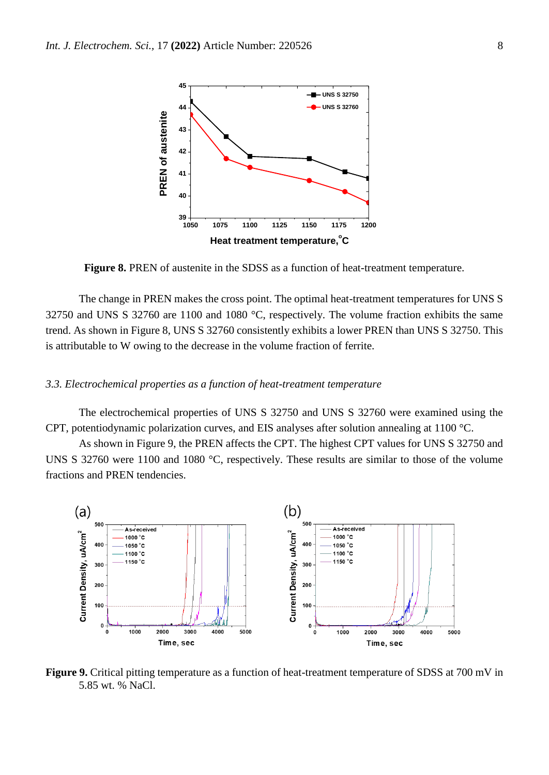

**Figure 8.** PREN of austenite in the SDSS as a function of heat-treatment temperature.

The change in PREN makes the cross point. The optimal heat-treatment temperatures for UNS S 32750 and UNS S 32760 are 1100 and 1080 °C, respectively. The volume fraction exhibits the same trend. As shown in Figure 8, UNS S 32760 consistently exhibits a lower PREN than UNS S 32750. This is attributable to W owing to the decrease in the volume fraction of ferrite.

#### *3.3. Electrochemical properties as a function of heat-treatment temperature*

The electrochemical properties of UNS S 32750 and UNS S 32760 were examined using the CPT, potentiodynamic polarization curves, and EIS analyses after solution annealing at 1100 °C.

As shown in Figure 9, the PREN affects the CPT. The highest CPT values for UNS S 32750 and UNS S 32760 were 1100 and 1080 °C, respectively. These results are similar to those of the volume fractions and PREN tendencies.



**Figure 9.** Critical pitting temperature as a function of heat-treatment temperature of SDSS at 700 mV in 5.85 wt. % NaCl.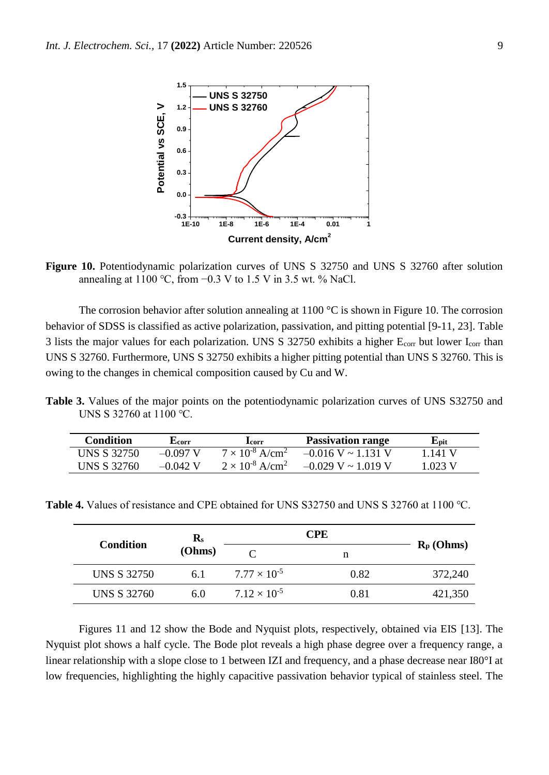

**Figure 10.** Potentiodynamic polarization curves of UNS S 32750 and UNS S 32760 after solution annealing at 1100 °C, from  $-0.3$  V to 1.5 V in 3.5 wt. % NaCl.

The corrosion behavior after solution annealing at  $1100\text{ °C}$  is shown in Figure 10. The corrosion behavior of SDSS is classified as active polarization, passivation, and pitting potential [9-11, 23]. Table 3 lists the major values for each polarization. UNS S 32750 exhibits a higher  $E_{\text{corr}}$  but lower  $I_{\text{corr}}$  than UNS S 32760. Furthermore, UNS S 32750 exhibits a higher pitting potential than UNS S 32760. This is owing to the changes in chemical composition caused by Cu and W.

**Table 3.** Values of the major points on the potentiodynamic polarization curves of UNS S32750 and UNS S 32760 at 1100 ℃.

| <b>Condition</b> | Leorr      | Lcorr                                | <b>Passivation range</b>  | ${\bf E_{\text{pit}}}$ |
|------------------|------------|--------------------------------------|---------------------------|------------------------|
| UNS S 32750      | $-0.097$ V | $7 \times 10^{-8}$ A/cm <sup>2</sup> | $-0.016$ V ~ 1.131 V      | 141V                   |
| UNS S 32760      | $-0.042$ V | $2 \times 10^{-8}$ A/cm <sup>2</sup> | $-0.029$ V $\sim 1.019$ V | L023 V                 |

**Table 4.** Values of resistance and CPE obtained for UNS S32750 and UNS S 32760 at 1100 ℃.

| Condition          | $\mathbf{R}_{\rm s}$ |                       |      |              |
|--------------------|----------------------|-----------------------|------|--------------|
|                    | (Ohms)               |                       |      | $R_p$ (Ohms) |
| <b>UNS S 32750</b> | 6.1                  | $7.77 \times 10^{-5}$ | 0.82 | 372,240      |
| <b>UNS S 32760</b> | 6.0                  | $7.12 \times 10^{-5}$ | 0.81 | 421,350      |

Figures 11 and 12 show the Bode and Nyquist plots, respectively, obtained via EIS [13]. The Nyquist plot shows a half cycle. The Bode plot reveals a high phase degree over a frequency range, a linear relationship with a slope close to 1 between IZI and frequency, and a phase decrease near I80°I at low frequencies, highlighting the highly capacitive passivation behavior typical of stainless steel. The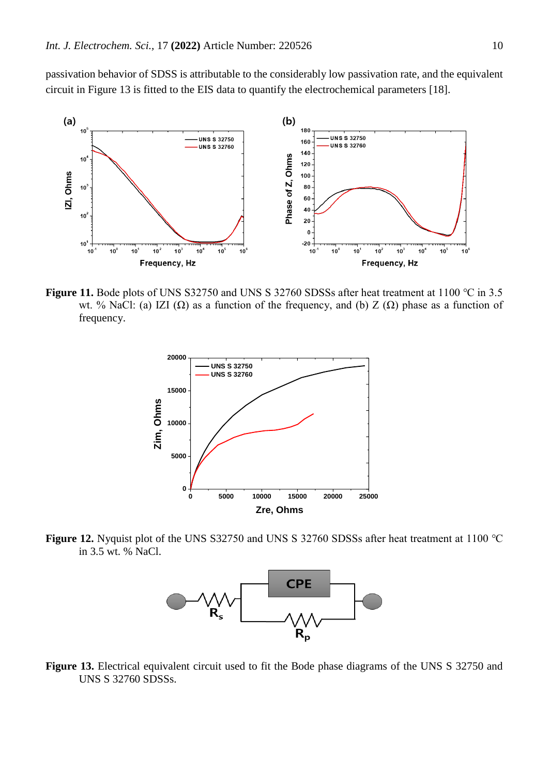passivation behavior of SDSS is attributable to the considerably low passivation rate, and the equivalent circuit in Figure 13 is fitted to the EIS data to quantify the electrochemical parameters [18].



**Figure 11.** Bode plots of UNS S32750 and UNS S 32760 SDSSs after heat treatment at 1100 ℃ in 3.5 wt. % NaCl: (a) IZI (Ω) as a function of the frequency, and (b) Z ( $\Omega$ ) phase as a function of frequency.



**Figure 12.** Nyquist plot of the UNS S32750 and UNS S 32760 SDSSs after heat treatment at 1100 ℃ in 3.5 wt. % NaCl.



**Figure 13.** Electrical equivalent circuit used to fit the Bode phase diagrams of the UNS S 32750 and UNS S 32760 SDSSs.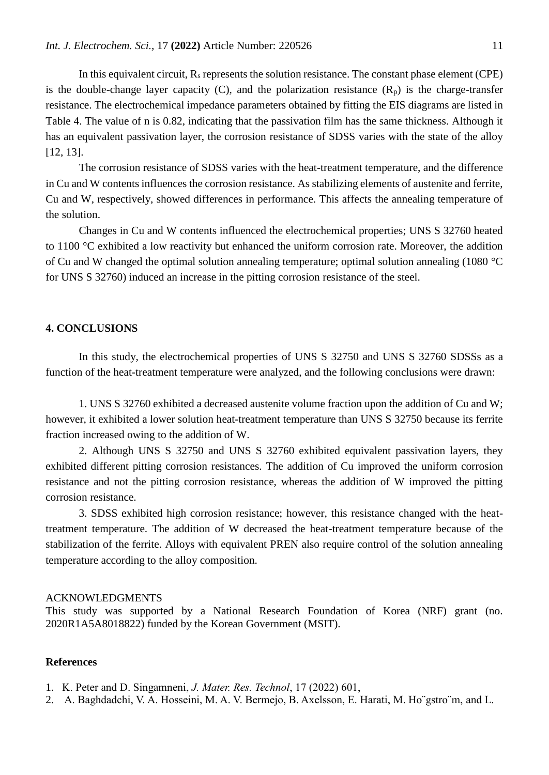In this equivalent circuit,  $R_s$  represents the solution resistance. The constant phase element (CPE) is the double-change layer capacity (C), and the polarization resistance  $(R_p)$  is the charge-transfer resistance. The electrochemical impedance parameters obtained by fitting the EIS diagrams are listed in Table 4. The value of n is 0.82, indicating that the passivation film has the same thickness. Although it has an equivalent passivation layer, the corrosion resistance of SDSS varies with the state of the alloy [12, 13].

The corrosion resistance of SDSS varies with the heat-treatment temperature, and the difference in Cu and W contents influences the corrosion resistance. As stabilizing elements of austenite and ferrite, Cu and W, respectively, showed differences in performance. This affects the annealing temperature of the solution.

Changes in Cu and W contents influenced the electrochemical properties; UNS S 32760 heated to 1100 °C exhibited a low reactivity but enhanced the uniform corrosion rate. Moreover, the addition of Cu and W changed the optimal solution annealing temperature; optimal solution annealing (1080 °C for UNS S 32760) induced an increase in the pitting corrosion resistance of the steel.

### **4. CONCLUSIONS**

In this study, the electrochemical properties of UNS S 32750 and UNS S 32760 SDSSs as a function of the heat-treatment temperature were analyzed, and the following conclusions were drawn:

1. UNS S 32760 exhibited a decreased austenite volume fraction upon the addition of Cu and W; however, it exhibited a lower solution heat-treatment temperature than UNS S 32750 because its ferrite fraction increased owing to the addition of W.

2. Although UNS S 32750 and UNS S 32760 exhibited equivalent passivation layers, they exhibited different pitting corrosion resistances. The addition of Cu improved the uniform corrosion resistance and not the pitting corrosion resistance, whereas the addition of W improved the pitting corrosion resistance.

3. SDSS exhibited high corrosion resistance; however, this resistance changed with the heattreatment temperature. The addition of W decreased the heat-treatment temperature because of the stabilization of the ferrite. Alloys with equivalent PREN also require control of the solution annealing temperature according to the alloy composition.

#### ACKNOWLEDGMENTS

This study was supported by a National Research Foundation of Korea (NRF) grant (no. 2020R1A5A8018822) funded by the Korean Government (MSIT).

#### **References**

- 1. K. Peter and D. Singamneni, *J. Mater. Res. Technol*, 17 (2022) 601,
- 2. A. Baghdadchi, V. A. Hosseini, M. A. V. Bermejo, B. Axelsson, E. Harati, M. Ho¨gstro¨m, and L.